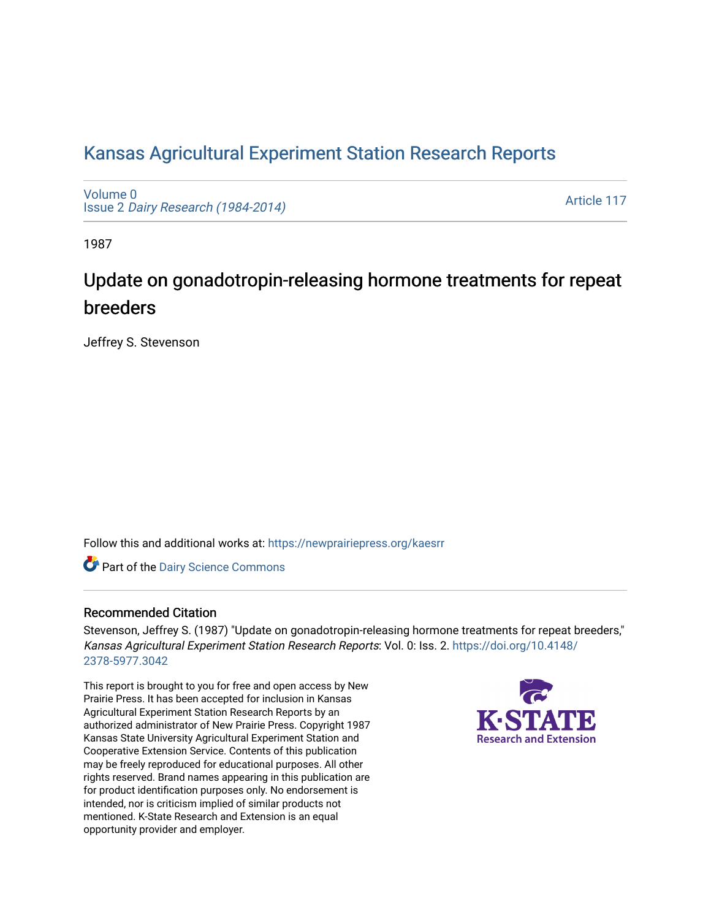## [Kansas Agricultural Experiment Station Research Reports](https://newprairiepress.org/kaesrr)

[Volume 0](https://newprairiepress.org/kaesrr/vol0) Issue 2 [Dairy Research \(1984-2014\)](https://newprairiepress.org/kaesrr/vol0/iss2) 

[Article 117](https://newprairiepress.org/kaesrr/vol0/iss2/117) 

1987

# Update on gonadotropin-releasing hormone treatments for repeat breeders

Jeffrey S. Stevenson

Follow this and additional works at: [https://newprairiepress.org/kaesrr](https://newprairiepress.org/kaesrr?utm_source=newprairiepress.org%2Fkaesrr%2Fvol0%2Fiss2%2F117&utm_medium=PDF&utm_campaign=PDFCoverPages) 

Part of the [Dairy Science Commons](http://network.bepress.com/hgg/discipline/79?utm_source=newprairiepress.org%2Fkaesrr%2Fvol0%2Fiss2%2F117&utm_medium=PDF&utm_campaign=PDFCoverPages) 

#### Recommended Citation

Stevenson, Jeffrey S. (1987) "Update on gonadotropin-releasing hormone treatments for repeat breeders," Kansas Agricultural Experiment Station Research Reports: Vol. 0: Iss. 2. [https://doi.org/10.4148/](https://doi.org/10.4148/2378-5977.3042) [2378-5977.3042](https://doi.org/10.4148/2378-5977.3042) 

This report is brought to you for free and open access by New Prairie Press. It has been accepted for inclusion in Kansas Agricultural Experiment Station Research Reports by an authorized administrator of New Prairie Press. Copyright 1987 Kansas State University Agricultural Experiment Station and Cooperative Extension Service. Contents of this publication may be freely reproduced for educational purposes. All other rights reserved. Brand names appearing in this publication are for product identification purposes only. No endorsement is intended, nor is criticism implied of similar products not mentioned. K-State Research and Extension is an equal opportunity provider and employer.

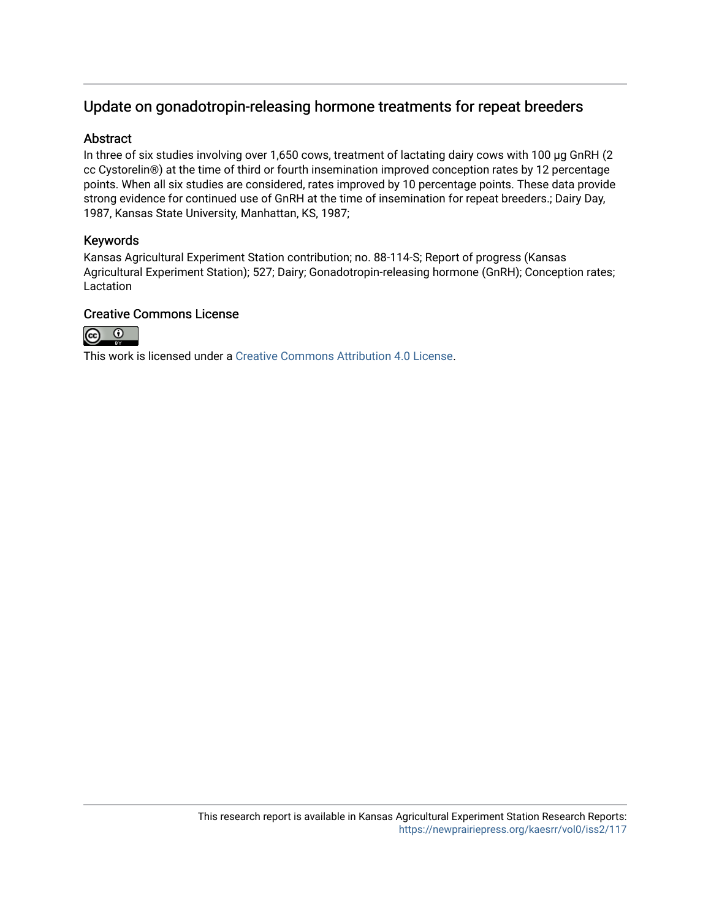## Update on gonadotropin-releasing hormone treatments for repeat breeders

#### Abstract

In three of six studies involving over 1,650 cows, treatment of lactating dairy cows with 100 µg GnRH (2) cc Cystorelin®) at the time of third or fourth insemination improved conception rates by 12 percentage points. When all six studies are considered, rates improved by 10 percentage points. These data provide strong evidence for continued use of GnRH at the time of insemination for repeat breeders.; Dairy Day, 1987, Kansas State University, Manhattan, KS, 1987;

### Keywords

Kansas Agricultural Experiment Station contribution; no. 88-114-S; Report of progress (Kansas Agricultural Experiment Station); 527; Dairy; Gonadotropin-releasing hormone (GnRH); Conception rates; Lactation

### Creative Commons License



This work is licensed under a [Creative Commons Attribution 4.0 License](https://creativecommons.org/licenses/by/4.0/).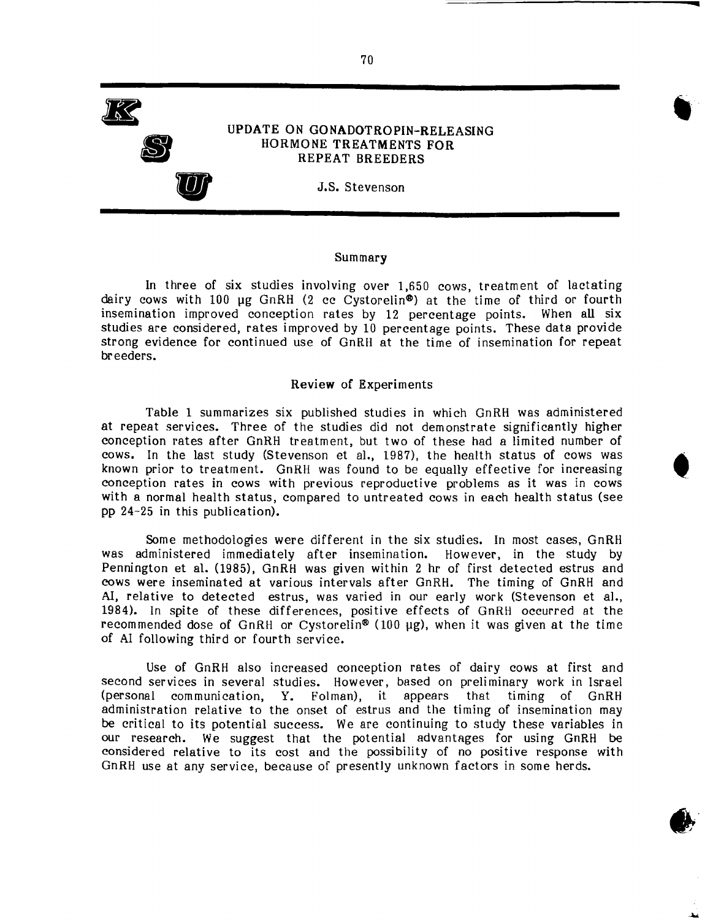Ie **S U** UPDATE ON GONADOTROPIN-RELEASING HORMONE TREATMENTS FOR REPEAT BREEDERS

J.S. Stevenson

#### Summary

In three of six studies involving over 1,650 cows, treatment of lactating dairy cows with 100  $\mu$ g GnRH (2 cc Cystorelin<sup>®</sup>) at the time of third or fourth insemination improved conception rates by 12 percentage points. When all six studies are considered, rates improved by 10 percentage points. These data provide strong evidence for continued use of GnRH at the time of insemination for repeat breeders.

#### Review of Experiments

Table 1 summarizes six published studies in which GnRH was administered at repeat services. Three of the studies did not demonstrate significantly higher conception rates after GnRH treatment, but two of these had a limited number of cows. In the last study (Stevenson et al., 1987), the health status of cows was known prior to treatment. GnRH was found to be equally effective for increasing conception rates in cows with previous reproductive problems as it was in cows with a normal health status, compared to untreated cows in each health status (see pp 24-25 in this publication).

Some methodologies were different in the six studies. In most cases, GnRH was administered immediately after insemination. However, in the study by Pennington et al. (1985), GnRH was given within 2 hr of first detected estrus and cows were inseminated at various intervals after GnRH. The timing of GnRH and AI, relative to detected estrus, was varied in our early work (Stevenson et al., 1984). In spite of these differences, positive effects of GnRH occurred at the recommended dose of GnRH or Cystorelin® (100 µg), when it was given at the time of AI following third or fourth service.

Use of GnRH also increased conception rates of dairy cows at first and second services in several studies. However, based on preliminary work in Israel (personal communication, Y. Folman), it appears that timing of GnRH administration relative to the onset of estrus and the timing of insemination may be critical to its potential success. We are continuing to study these variables in our research. We suggest that the potential advantages for using GnRH be considered relative to its cost and the possibility of no positive response with GnRH use at any service, because of presently unknown factors in some herds.

.'

70